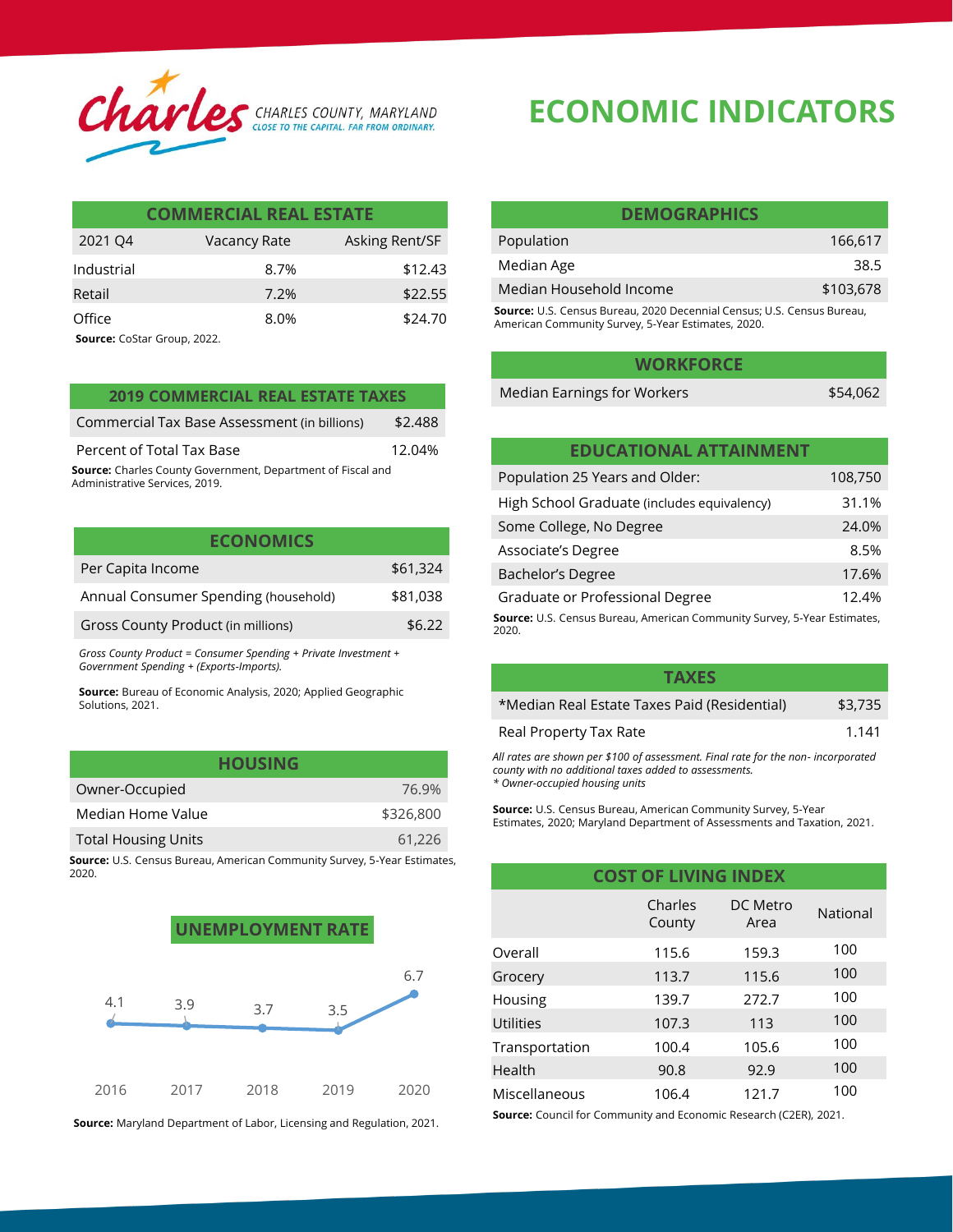

| <b>COMMERCIAL REAL ESTATE</b> |              |                |  |
|-------------------------------|--------------|----------------|--|
| 2021 Q4                       | Vacancy Rate | Asking Rent/SF |  |
| Industrial                    | 8.7%         | \$12.43        |  |
| Retail                        | 7.2%         | \$22.55        |  |
| Office                        | 8.0%         | \$24.70        |  |
|                               |              |                |  |

**Source:** CoStar Group, 2022.

| <b>2019 COMMERCIAL REAL ESTATE TAXES</b>                   |         | Median Earnings for Workers   | \$54,062 |
|------------------------------------------------------------|---------|-------------------------------|----------|
| Commercial Tax Base Assessment (in billions)               | \$2.488 |                               |          |
| Percent of Total Tax Base                                  | 12.04%  | <b>EDUCATIONAL ATTAINMENT</b> |          |
| ource: Charles County Government, Denartment of Eiscal and |         |                               |          |

**Source:** Charles County Government, Department of Fiscal and Administrative Services, 2019.

| <b>ECONOMICS</b>                     |          |
|--------------------------------------|----------|
| Per Capita Income                    | \$61,324 |
| Annual Consumer Spending (household) | \$81,038 |
| Gross County Product (in millions)   | \$6.22   |
|                                      |          |

*Gross County Product = Consumer Spending + Private Investment + Government Spending + (Exports-Imports).* 

**Source:** Bureau of Economic Analysis, 2020; Applied Geographic Solutions, 2021.

| <b>HOUSING</b>             |           |
|----------------------------|-----------|
| Owner-Occupied             | 76.9%     |
| Median Home Value          | \$326,800 |
| <b>Total Housing Units</b> | 61,226    |

**Source:** U.S. Census Bureau, American Community Survey, 5-Year Estimates, 2020.



**Source:** Maryland Department of Labor, Licensing and Regulation, 2021.

## **ECONOMIC INDICATORS**

| <b>DEMOGRAPHICS</b>                                                           |           |  |
|-------------------------------------------------------------------------------|-----------|--|
| Population                                                                    | 166.617   |  |
| Median Age                                                                    | 38.5      |  |
| Median Household Income                                                       | \$103,678 |  |
| <b>Source:</b> U.S. Census Bureau, 2020 Decennial Census; U.S. Census Bureau, |           |  |

American Community Survey, 5-Year Estimates, 2020.

| <b>WORKFORCE</b>     |          |
|----------------------|----------|
| arnings for Workers: | \$54,062 |

| <b>EDUCATIONAL ATTAINMENT</b>                                                     |         |
|-----------------------------------------------------------------------------------|---------|
| Population 25 Years and Older:                                                    | 108,750 |
| High School Graduate (includes equivalency)                                       | 31.1%   |
| Some College, No Degree                                                           | 24.0%   |
| Associate's Degree                                                                | 8.5%    |
| <b>Bachelor's Degree</b>                                                          | 17.6%   |
| Graduate or Professional Degree                                                   | 12.4%   |
| Source: U.S. Census Bureau, American Community Survey, 5-Year Estimates,<br>2020. |         |

| <b>TAXES</b>                                 |         |
|----------------------------------------------|---------|
| *Median Real Estate Taxes Paid (Residential) | \$3,735 |
| Real Property Tax Rate                       | 1.141   |

*All rates are shown per \$100 of assessment. Final rate for the non- incorporated county with no additional taxes added to assessments. \* Owner-occupied housing units* 

**Source:** U.S. Census Bureau, American Community Survey, 5-Year Estimates, 2020; Maryland Department of Assessments and Taxation, 2021.

| <b>COST OF LIVING INDEX</b> |                   |                  |          |
|-----------------------------|-------------------|------------------|----------|
|                             | Charles<br>County | DC Metro<br>Area | National |
| Overall                     | 115.6             | 159.3            | 100      |
| Grocery                     | 113.7             | 115.6            | 100      |
| Housing                     | 139.7             | 272.7            | 100      |
| Utilities                   | 107.3             | 113              | 100      |
| Transportation              | 100.4             | 105.6            | 100      |
| Health                      | 90.8              | 92.9             | 100      |
| Miscellaneous               | 106.4             | 121.7            | 100      |

**Source:** Council for Community and Economic Research (C2ER), 2021.